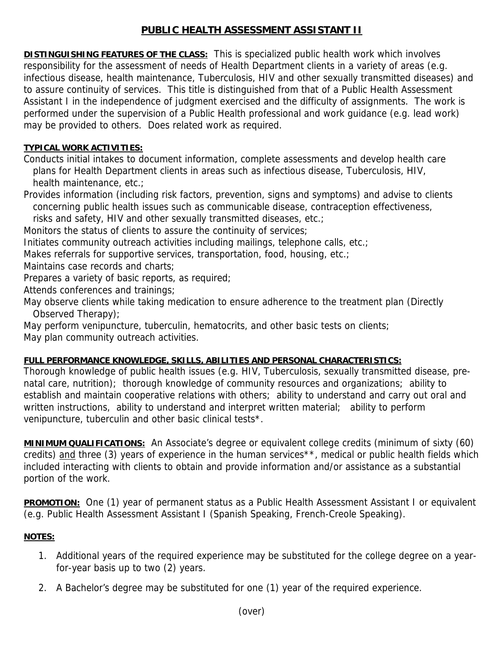## **PUBLIC HEALTH ASSESSMENT ASSISTANT II**

**DISTINGUISHING FEATURES OF THE CLASS:** This is specialized public health work which involves responsibility for the assessment of needs of Health Department clients in a variety of areas (e.g. infectious disease, health maintenance, Tuberculosis, HIV and other sexually transmitted diseases) and to assure continuity of services. This title is distinguished from that of a Public Health Assessment Assistant I in the independence of judgment exercised and the difficulty of assignments. The work is performed under the supervision of a Public Health professional and work guidance (e.g. lead work) may be provided to others. Does related work as required.

## **TYPICAL WORK ACTIVITIES:**

Conducts initial intakes to document information, complete assessments and develop health care plans for Health Department clients in areas such as infectious disease, Tuberculosis, HIV, health maintenance, etc.;

Provides information (including risk factors, prevention, signs and symptoms) and advise to clients concerning public health issues such as communicable disease, contraception effectiveness,

risks and safety, HIV and other sexually transmitted diseases, etc.;

Monitors the status of clients to assure the continuity of services;

Initiates community outreach activities including mailings, telephone calls, etc.;

Makes referrals for supportive services, transportation, food, housing, etc.;

Maintains case records and charts;

Prepares a variety of basic reports, as required;

Attends conferences and trainings;

May observe clients while taking medication to ensure adherence to the treatment plan (Directly Observed Therapy);

May perform venipuncture, tuberculin, hematocrits, and other basic tests on clients; May plan community outreach activities.

## **FULL PERFORMANCE KNOWLEDGE, SKILLS, ABILITIES AND PERSONAL CHARACTERISTICS:**

Thorough knowledge of public health issues (e.g. HIV, Tuberculosis, sexually transmitted disease, prenatal care, nutrition); thorough knowledge of community resources and organizations; ability to establish and maintain cooperative relations with others; ability to understand and carry out oral and written instructions, ability to understand and interpret written material; ability to perform venipuncture, tuberculin and other basic clinical tests\*.

**MINIMUM QUALIFICATIONS:** An Associate's degree or equivalent college credits (minimum of sixty (60) credits) and three (3) years of experience in the human services\*\*, medical or public health fields which included interacting with clients to obtain and provide information and/or assistance as a substantial portion of the work.

**PROMOTION:** One (1) year of permanent status as a Public Health Assessment Assistant I or equivalent (e.g. Public Health Assessment Assistant I (Spanish Speaking, French-Creole Speaking).

## **NOTES:**

- 1. Additional years of the required experience may be substituted for the college degree on a yearfor-year basis up to two (2) years.
- 2. A Bachelor's degree may be substituted for one (1) year of the required experience.